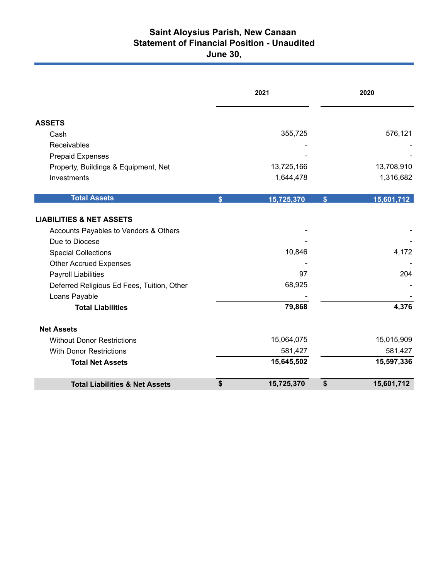## **Saint Aloysius Parish, New Canaan Statement of Financial Position - Unaudited June 30,**

|                                            | 2021         |            | 2020             |  |
|--------------------------------------------|--------------|------------|------------------|--|
| <b>ASSETS</b>                              |              |            |                  |  |
| Cash                                       |              | 355,725    | 576,121          |  |
| Receivables                                |              |            |                  |  |
| <b>Prepaid Expenses</b>                    |              |            |                  |  |
| Property, Buildings & Equipment, Net       |              | 13,725,166 | 13,708,910       |  |
| Investments                                |              | 1,644,478  | 1,316,682        |  |
| <b>Total Assets</b>                        | $\mathbf{s}$ | 15,725,370 | \$<br>15,601,712 |  |
| <b>LIABILITIES &amp; NET ASSETS</b>        |              |            |                  |  |
| Accounts Payables to Vendors & Others      |              |            |                  |  |
| Due to Diocese                             |              |            |                  |  |
| <b>Special Collections</b>                 |              | 10,846     | 4,172            |  |
| <b>Other Accrued Expenses</b>              |              |            |                  |  |
| Payroll Liabilities                        |              | 97         | 204              |  |
| Deferred Religious Ed Fees, Tuition, Other |              | 68,925     |                  |  |
| Loans Payable                              |              |            |                  |  |
| <b>Total Liabilities</b>                   |              | 79,868     | 4,376            |  |
| <b>Net Assets</b>                          |              |            |                  |  |
| <b>Without Donor Restrictions</b>          |              | 15,064,075 | 15,015,909       |  |
| <b>With Donor Restrictions</b>             |              | 581,427    | 581,427          |  |
| <b>Total Net Assets</b>                    |              | 15,645,502 | 15,597,336       |  |
| <b>Total Liabilities &amp; Net Assets</b>  | \$           | 15,725,370 | \$<br>15,601,712 |  |